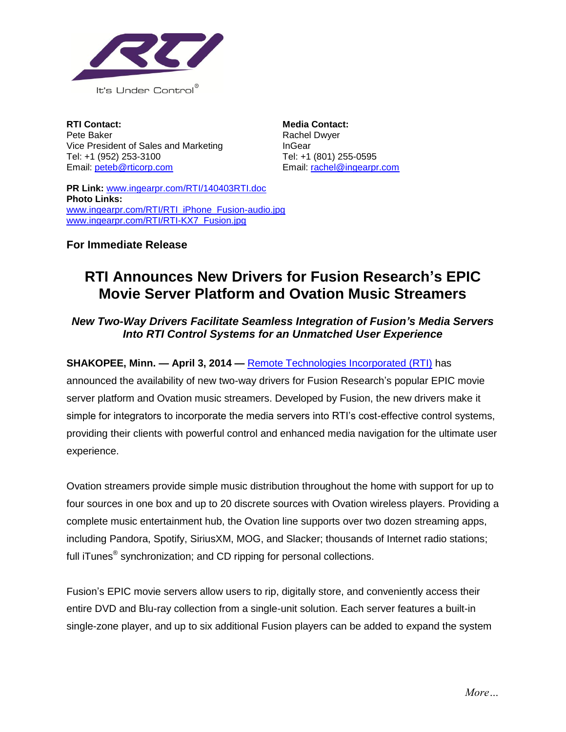

**RTI Contact:** Pete Baker Vice President of Sales and Marketing Tel: +1 (952) 253-3100 Email: [peteb@rticorp.com](mailto:peteb@rticorp.com)

**Media Contact:** Rachel Dwyer InGear Tel: +1 (801) 255-0595 Email: [rachel@ingearpr.com](mailto:rachel@ingearpr.com)

**PR Link:** [www.ingearpr.com/RTI/140403RTI.doc](http://www.ingearpr.com/RTI/140403RTI.doc) **Photo Links:** [www.ingearpr.com/RTI/RTI\\_iPhone\\_Fusion-audio.jpg](http://www.ingearpr.com/RTI/RTI_iPhone_Fusion-audio.jpg) [www.ingearpr.com/RTI/RTI-KX7\\_Fusion.jpg](http://www.ingearpr.com/RTI/RTI-KX7_Fusion.jpg)

**For Immediate Release**

## **RTI Announces New Drivers for Fusion Research's EPIC Movie Server Platform and Ovation Music Streamers**

## *New Two-Way Drivers Facilitate Seamless Integration of Fusion's Media Servers Into RTI Control Systems for an Unmatched User Experience*

## **SHAKOPEE, Minn. — April 3, 2014 —** [Remote Technologies Incorporated \(RTI\)](http://www.rticorp.com/) has

announced the availability of new two-way drivers for Fusion Research's popular EPIC movie server platform and Ovation music streamers. Developed by Fusion, the new drivers make it simple for integrators to incorporate the media servers into RTI's cost-effective control systems, providing their clients with powerful control and enhanced media navigation for the ultimate user experience.

Ovation streamers provide simple music distribution throughout the home with support for up to four sources in one box and up to 20 discrete sources with Ovation wireless players. Providing a complete music entertainment hub, the Ovation line supports over two dozen streaming apps, including Pandora, Spotify, SiriusXM, MOG, and Slacker; thousands of Internet radio stations; full iTunes<sup>®</sup> synchronization; and CD ripping for personal collections.

Fusion's EPIC movie servers allow users to rip, digitally store, and conveniently access their entire DVD and Blu-ray collection from a single-unit solution. Each server features a built-in single-zone player, and up to six additional Fusion players can be added to expand the system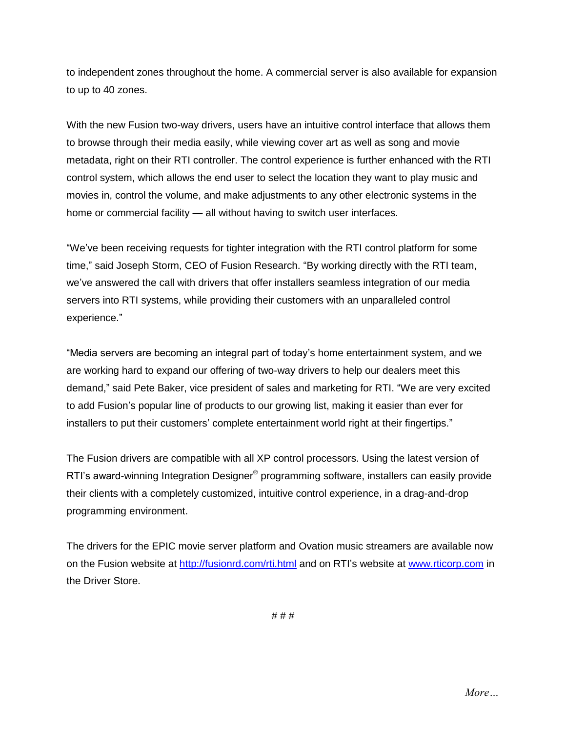to independent zones throughout the home. A commercial server is also available for expansion to up to 40 zones.

With the new Fusion two-way drivers, users have an intuitive control interface that allows them to browse through their media easily, while viewing cover art as well as song and movie metadata, right on their RTI controller. The control experience is further enhanced with the RTI control system, which allows the end user to select the location they want to play music and movies in, control the volume, and make adjustments to any other electronic systems in the home or commercial facility — all without having to switch user interfaces.

"We've been receiving requests for tighter integration with the RTI control platform for some time," said Joseph Storm, CEO of Fusion Research. "By working directly with the RTI team, we've answered the call with drivers that offer installers seamless integration of our media servers into RTI systems, while providing their customers with an unparalleled control experience."

"Media servers are becoming an integral part of today's home entertainment system, and we are working hard to expand our offering of two-way drivers to help our dealers meet this demand," said Pete Baker, vice president of sales and marketing for RTI. "We are very excited to add Fusion's popular line of products to our growing list, making it easier than ever for installers to put their customers' complete entertainment world right at their fingertips."

The Fusion drivers are compatible with all XP control processors. Using the latest version of RTI's award-winning Integration Designer® programming software, installers can easily provide their clients with a completely customized, intuitive control experience, in a drag-and-drop programming environment.

The drivers for the EPIC movie server platform and Ovation music streamers are available now on the Fusion website at<http://fusionrd.com/rti.html> and on RTI's website at [www.rticorp.com](../../../Local%20Settings/Temporary%20Internet%20Files/Content.Outlook/N4ZB7ECB/www.rticorp.com) in the Driver Store.

*# # #*